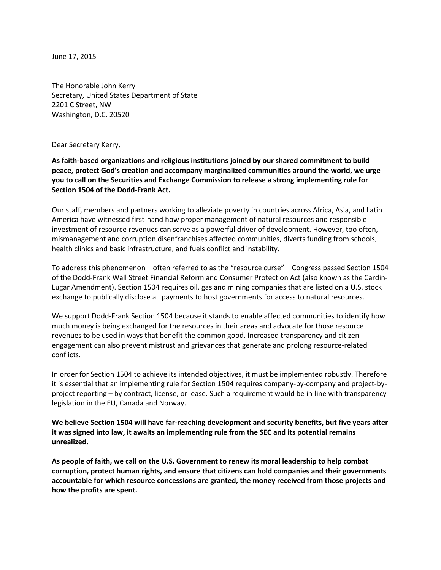June 17, 2015

The Honorable John Kerry Secretary, United States Department of State 2201 C Street, NW Washington, D.C. 20520

Dear Secretary Kerry,

As faith-based organizations and religious institutions joined by our shared commitment to build **peace, protect God's creation and accompany marginalized communities around the world, we urge you** to call on the Securities and Exchange Commission to release a strong implementing rule for **Section 1504 of the Dodd-Frank Act.** 

Our staff, members and partners working to alleviate poverty in countries across Africa, Asia, and Latin America have witnessed first-hand how proper management of natural resources and responsible investment of resource revenues can serve as a powerful driver of development. However, too often, mismanagement and corruption disenfranchises affected communities, diverts funding from schools, health clinics and basic infrastructure, and fuels conflict and instability.

To address this phenomenon – often referred to as the "resource curse" – Congress passed Section 1504 of the Dodd-Frank Wall Street Financial Reform and Consumer Protection Act (also known as the Cardin-Lugar Amendment). Section 1504 requires oil, gas and mining companies that are listed on a U.S. stock exchange to publically disclose all payments to host governments for access to natural resources.

We support Dodd-Frank Section 1504 because it stands to enable affected communities to identify how much money is being exchanged for the resources in their areas and advocate for those resource revenues to be used in ways that benefit the common good. Increased transparency and citizen engagement can also prevent mistrust and grievances that generate and prolong resource-related conflicts.

In order for Section 1504 to achieve its intended objectives, it must be implemented robustly. Therefore it is essential that an implementing rule for Section 1504 requires company-by-company and project-byproject reporting – by contract, license, or lease. Such a requirement would be in-line with transparency legislation in the EU, Canada and Norway.

We believe Section 1504 will have far-reaching development and security benefits, but five years after **it was signed into law, it awaits an implementing rule from the SEC and its potential remains unrealized.**

As people of faith, we call on the U.S. Government to renew its moral leadership to help combat corruption, protect human rights, and ensure that citizens can hold companies and their governments **accountable** for which resource concessions are granted, the money received from those projects and how the profits are spent.